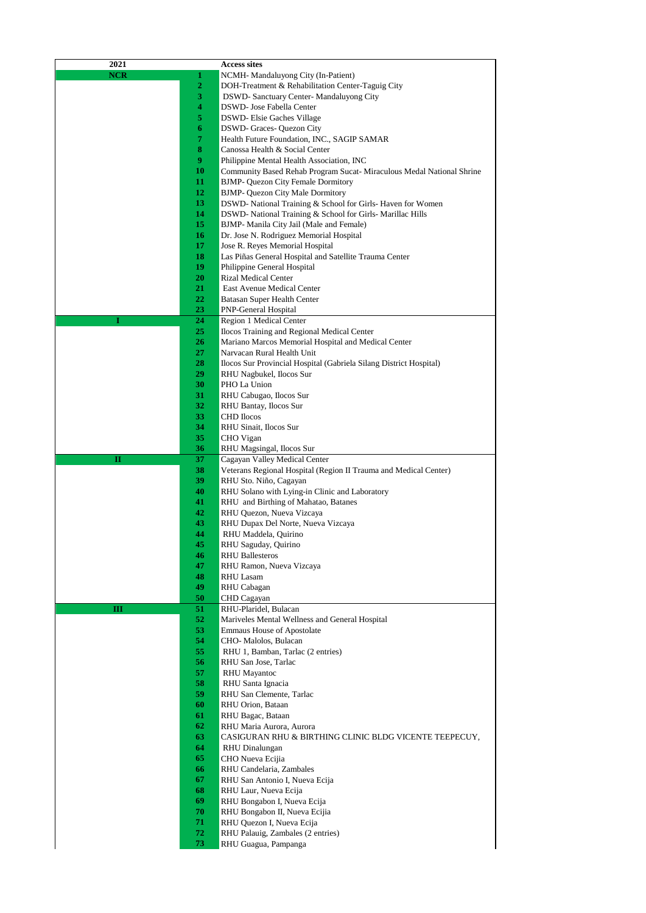| 2021       |                | <b>Access sites</b>                                                  |
|------------|----------------|----------------------------------------------------------------------|
| <b>NCR</b> | 1              | NCMH-Mandaluyong City (In-Patient)                                   |
|            | $\overline{2}$ | DOH-Treatment & Rehabilitation Center-Taguig City                    |
|            | 3              | DSWD-Sanctuary Center-Mandaluyong City                               |
|            | 4              | DSWD- Jose Fabella Center                                            |
|            | 5              | <b>DSWD-Elsie Gaches Village</b>                                     |
|            | 6              | <b>DSWD-Graces-Quezon City</b>                                       |
|            | 7              | Health Future Foundation, INC., SAGIP SAMAR                          |
|            | 8              | Canossa Health & Social Center                                       |
|            | 9              | Philippine Mental Health Association, INC                            |
|            | 10             | Community Based Rehab Program Sucat-Miraculous Medal National Shrine |
|            | 11             | <b>BJMP- Quezon City Female Dormitory</b>                            |
|            | 12             | BJMP- Quezon City Male Dormitory                                     |
|            | 13             | DSWD- National Training & School for Girls- Haven for Women          |
|            | 14             | DSWD- National Training & School for Girls- Marillac Hills           |
|            | 15             | BJMP- Manila City Jail (Male and Female)                             |
|            | 16             | Dr. Jose N. Rodriguez Memorial Hospital                              |
|            | 17             | Jose R. Reyes Memorial Hospital                                      |
|            | 18             | Las Piñas General Hospital and Satellite Trauma Center               |
|            | 19             | Philippine General Hospital                                          |
|            | 20<br>21       | <b>Rizal Medical Center</b><br>East Avenue Medical Center            |
|            | 22             |                                                                      |
|            | 23             | Batasan Super Health Center<br><b>PNP-General Hospital</b>           |
| I          | 24             | Region 1 Medical Center                                              |
|            | 25             | Ilocos Training and Regional Medical Center                          |
|            | 26             | Mariano Marcos Memorial Hospital and Medical Center                  |
|            | 27             | Narvacan Rural Health Unit                                           |
|            | 28             | Ilocos Sur Provincial Hospital (Gabriela Silang District Hospital)   |
|            | 29             | RHU Nagbukel, Ilocos Sur                                             |
|            | 30             | PHO La Union                                                         |
|            | 31             | RHU Cabugao, Ilocos Sur                                              |
|            | 32             | RHU Bantay, Ilocos Sur                                               |
|            | 33             | <b>CHD</b> Ilocos                                                    |
|            | 34             | RHU Sinait, Ilocos Sur                                               |
|            | 35             | CHO Vigan                                                            |
|            | 36             | RHU Magsingal, Ilocos Sur                                            |
| п          | 37             | Cagayan Valley Medical Center                                        |
|            | 38             | Veterans Regional Hospital (Region II Trauma and Medical Center)     |
|            | 39             | RHU Sto. Niño, Cagayan                                               |
|            | 40             | RHU Solano with Lying-in Clinic and Laboratory                       |
|            | 41             | RHU and Birthing of Mahatao, Batanes                                 |
|            | 42             | RHU Quezon, Nueva Vizcaya                                            |
|            | 43             | RHU Dupax Del Norte, Nueva Vizcaya                                   |
|            | 44             | RHU Maddela, Quirino                                                 |
|            | 45             | RHU Saguday, Quirino                                                 |
|            | 46             | <b>RHU Ballesteros</b>                                               |
|            | 47<br>48       | RHU Ramon, Nueva Vizcaya<br><b>RHU Lasam</b>                         |
|            | 49             | RHU Cabagan                                                          |
|            | 50             | CHD Cagayan                                                          |
| Ш          | 51             | RHU-Plaridel, Bulacan                                                |
|            | 52             | Mariveles Mental Wellness and General Hospital                       |
|            | 53             | <b>Emmaus House of Apostolate</b>                                    |
|            | 54             | CHO- Malolos, Bulacan                                                |
|            | 55             | RHU 1, Bamban, Tarlac (2 entries)                                    |
|            | 56             | RHU San Jose, Tarlac                                                 |
|            | 57             | <b>RHU</b> Mayantoc                                                  |
|            | 58             | RHU Santa Ignacia                                                    |
|            | 59             | RHU San Clemente, Tarlac                                             |
|            | 60             | RHU Orion, Bataan                                                    |
|            | 61             | RHU Bagac, Bataan                                                    |
|            | 62             | RHU Maria Aurora, Aurora                                             |
|            | 63             | CASIGURAN RHU & BIRTHING CLINIC BLDG VICENTE TEEPECUY,               |
|            | 64             | <b>RHU</b> Dinalungan                                                |
|            | 65             | CHO Nueva Ecijia                                                     |
|            | 66             | RHU Candelaria, Zambales                                             |
|            | 67             | RHU San Antonio I, Nueva Ecija                                       |
|            | 68             | RHU Laur, Nueva Ecija                                                |
|            | 69             | RHU Bongabon I, Nueva Ecija                                          |
|            | 70             | RHU Bongabon II, Nueva Ecijia                                        |
|            | 71             | RHU Quezon I, Nueva Ecija                                            |
|            | 72             | RHU Palauig, Zambales (2 entries)                                    |
|            | 73             | RHU Guagua, Pampanga                                                 |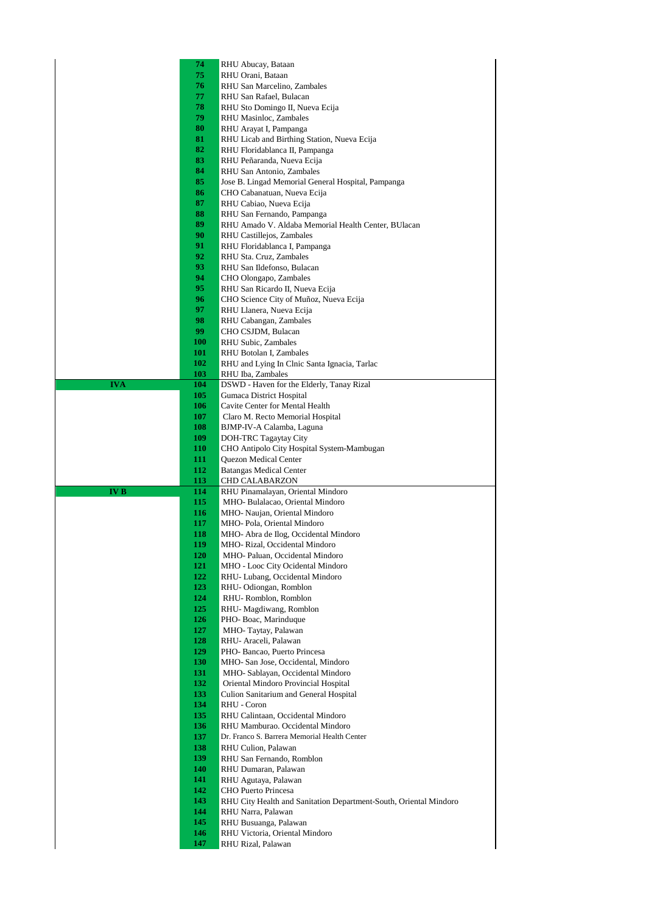|            | 74         | RHU Abucay, Bataan                                                    |
|------------|------------|-----------------------------------------------------------------------|
|            | 75         | RHU Orani, Bataan                                                     |
|            | 76         | RHU San Marcelino, Zambales                                           |
|            | 77         | RHU San Rafael, Bulacan                                               |
|            | 78         | RHU Sto Domingo II, Nueva Ecija                                       |
|            | 79<br>80   | RHU Masinloc, Zambales                                                |
|            | 81         | RHU Arayat I, Pampanga<br>RHU Licab and Birthing Station, Nueva Ecija |
|            | 82         | RHU Floridablanca II, Pampanga                                        |
|            | 83         | RHU Peñaranda, Nueva Ecija                                            |
|            | 84         | RHU San Antonio, Zambales                                             |
|            | 85         | Jose B. Lingad Memorial General Hospital, Pampanga                    |
|            | 86         | CHO Cabanatuan, Nueva Ecija                                           |
|            | 87         | RHU Cabiao, Nueva Ecija                                               |
|            | 88         | RHU San Fernando, Pampanga                                            |
|            | 89         | RHU Amado V. Aldaba Memorial Health Center, BUlacan                   |
|            | 90         | RHU Castillejos, Zambales                                             |
|            | 91         | RHU Floridablanca I, Pampanga                                         |
|            | 92<br>93   | RHU Sta. Cruz, Zambales                                               |
|            | 94         | RHU San Ildefonso, Bulacan<br>CHO Olongapo, Zambales                  |
|            | 95         | RHU San Ricardo II, Nueva Ecija                                       |
|            | 96         | CHO Science City of Muñoz, Nueva Ecija                                |
|            | 97         | RHU Llanera, Nueva Ecija                                              |
|            | 98         | RHU Cabangan, Zambales                                                |
|            | 99         | CHO CSJDM, Bulacan                                                    |
|            | 100        | RHU Subic, Zambales                                                   |
|            | 101        | RHU Botolan I, Zambales                                               |
|            | 102        | RHU and Lying In Clnic Santa Ignacia, Tarlac                          |
|            | 103        | RHU Iba, Zambales                                                     |
| <b>IVA</b> | 104<br>105 | DSWD - Haven for the Elderly, Tanay Rizal                             |
|            | 106        | Gumaca District Hospital<br>Cavite Center for Mental Health           |
|            | 107        | Claro M. Recto Memorial Hospital                                      |
|            | 108        | BJMP-IV-A Calamba, Laguna                                             |
|            | 109        | DOH-TRC Tagaytay City                                                 |
|            | <b>110</b> | CHO Antipolo City Hospital System-Mambugan                            |
|            |            |                                                                       |
|            | 111        | Quezon Medical Center                                                 |
|            | 112        | <b>Batangas Medical Center</b>                                        |
|            | 113        | CHD CALABARZON                                                        |
| <b>IVB</b> | 114        | RHU Pinamalayan, Oriental Mindoro                                     |
|            | 115        | MHO- Bulalacao, Oriental Mindoro                                      |
|            | 116<br>117 | MHO- Naujan, Oriental Mindoro<br>MHO-Pola, Oriental Mindoro           |
|            | 118        | MHO-Abra de Ilog, Occidental Mindoro                                  |
|            | 119        | MHO- Rizal, Occidental Mindoro                                        |
|            | <b>120</b> | MHO-Paluan, Occidental Mindoro                                        |
|            | 121        | MHO - Looc City Ocidental Mindoro                                     |
|            | 122        | RHU-Lubang, Occidental Mindoro                                        |
|            | 123        | RHU-Odiongan, Romblon                                                 |
|            | 124        | RHU-Romblon, Romblon                                                  |
|            | 125        | RHU-Magdiwang, Romblon                                                |
|            | 126<br>127 | PHO-Boac, Marinduque<br>MHO-Taytay, Palawan                           |
|            | 128        | RHU- Araceli, Palawan                                                 |
|            | 129        | PHO-Bancao, Puerto Princesa                                           |
|            | 130        | MHO-San Jose, Occidental, Mindoro                                     |
|            | 131        | MHO- Sablayan, Occidental Mindoro                                     |
|            | 132        | Oriental Mindoro Provincial Hospital                                  |
|            | 133        | Culion Sanitarium and General Hospital                                |
|            | 134        | RHU - Coron                                                           |
|            | 135        | RHU Calintaan, Occidental Mindoro                                     |
|            | 136        | RHU Mamburao. Occidental Mindoro                                      |
|            | 137<br>138 | Dr. Franco S. Barrera Memorial Health Center                          |
|            | 139        | RHU Culion, Palawan<br>RHU San Fernando, Romblon                      |
|            | 140        | RHU Dumaran, Palawan                                                  |
|            | 141        | RHU Agutaya, Palawan                                                  |
|            | 142        | CHO Puerto Princesa                                                   |
|            | 143        | RHU City Health and Sanitation Department-South, Oriental Mindoro     |
|            | 144        | RHU Narra, Palawan                                                    |
|            | 145        | RHU Busuanga, Palawan                                                 |
|            | 146<br>147 | RHU Victoria, Oriental Mindoro<br>RHU Rizal, Palawan                  |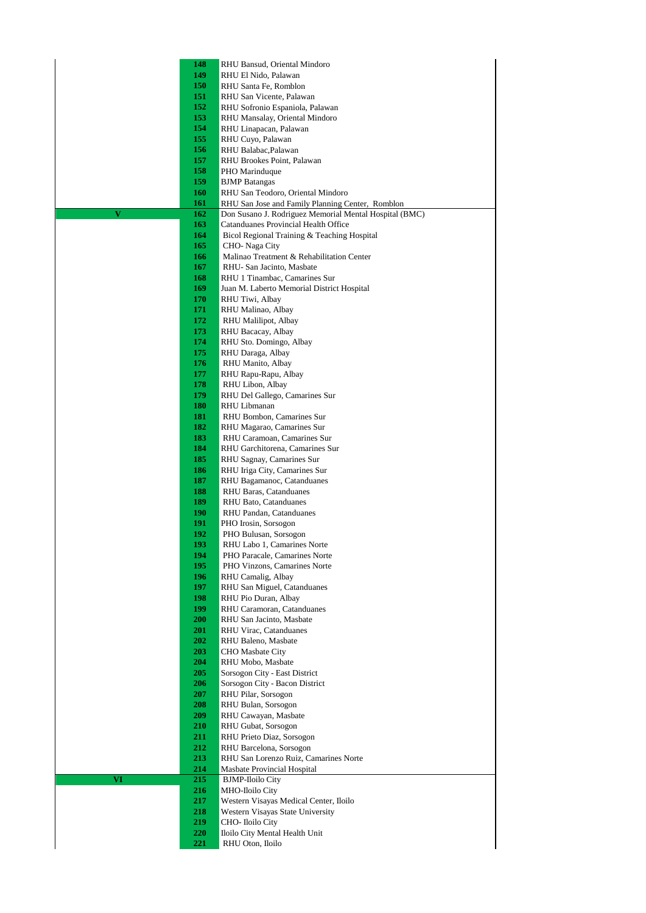| 148        | RHU Bansud, Oriental Mindoro                                                          |
|------------|---------------------------------------------------------------------------------------|
| 149        | RHU El Nido, Palawan                                                                  |
| 150        | RHU Santa Fe, Romblon                                                                 |
| 151<br>152 | RHU San Vicente, Palawan<br>RHU Sofronio Espaniola, Palawan                           |
| 153        | RHU Mansalay, Oriental Mindoro                                                        |
| 154        | RHU Linapacan, Palawan                                                                |
| 155        | RHU Cuyo, Palawan                                                                     |
| 156        | RHU Balabac, Palawan                                                                  |
| 157        | RHU Brookes Point, Palawan                                                            |
| 158        | PHO Marinduque                                                                        |
| 159        | <b>BJMP</b> Batangas                                                                  |
| 160<br>161 | RHU San Teodoro, Oriental Mindoro<br>RHU San Jose and Family Planning Center, Romblon |
| V<br>162   | Don Susano J. Rodriguez Memorial Mental Hospital (BMC)                                |
| 163        | Catanduanes Provincial Health Office                                                  |
| 164        | Bicol Regional Training & Teaching Hospital                                           |
| 165        | CHO-Naga City                                                                         |
| 166        | Malinao Treatment & Rehabilitation Center                                             |
| 167        | RHU-San Jacinto, Masbate                                                              |
| 168        | RHU 1 Tinambac, Camarines Sur                                                         |
| 169<br>170 | Juan M. Laberto Memorial District Hospital<br>RHU Tiwi, Albay                         |
| 171        | RHU Malinao, Albay                                                                    |
| 172        | RHU Malilipot, Albay                                                                  |
| 173        | RHU Bacacay, Albay                                                                    |
| 174        | RHU Sto. Domingo, Albay                                                               |
| 175        | RHU Daraga, Albay                                                                     |
| 176        | RHU Manito, Albay                                                                     |
| 177<br>178 | RHU Rapu-Rapu, Albay                                                                  |
| 179        | RHU Libon, Albay<br>RHU Del Gallego, Camarines Sur                                    |
| 180        | RHU Libmanan                                                                          |
| 181        | RHU Bombon, Camarines Sur                                                             |
| 182        | RHU Magarao, Camarines Sur                                                            |
| 183        | RHU Caramoan, Camarines Sur                                                           |
| 184        | RHU Garchitorena, Camarines Sur                                                       |
| 185        | RHU Sagnay, Camarines Sur                                                             |
| 186<br>187 | RHU Iriga City, Camarines Sur<br>RHU Bagamanoc, Catanduanes                           |
| 188        | RHU Baras, Catanduanes                                                                |
| 189        | RHU Bato, Catanduanes                                                                 |
| 190        | RHU Pandan, Catanduanes                                                               |
| 191        | PHO Irosin, Sorsogon                                                                  |
| 192        | PHO Bulusan, Sorsogon                                                                 |
| 193        | RHU Labo 1, Camarines Norte                                                           |
| 194<br>195 | PHO Paracale, Camarines Norte<br>PHO Vinzons, Camarines Norte                         |
| 196        | RHU Camalig, Albay                                                                    |
| 197        | RHU San Miguel, Catanduanes                                                           |
| 198        | RHU Pio Duran, Albay                                                                  |
| 199        | RHU Caramoran, Catanduanes                                                            |
| 200        | RHU San Jacinto, Masbate                                                              |
| 201        | RHU Virac, Catanduanes                                                                |
| 202<br>203 | RHU Baleno, Masbate<br><b>CHO</b> Masbate City                                        |
| 204        | RHU Mobo, Masbate                                                                     |
| 205        | Sorsogon City - East District                                                         |
| 206        | Sorsogon City - Bacon District                                                        |
| 207        | RHU Pilar, Sorsogon                                                                   |
| 208        | RHU Bulan, Sorsogon                                                                   |
| 209        | RHU Cawayan, Masbate                                                                  |
| 210<br>211 | RHU Gubat, Sorsogon<br>RHU Prieto Diaz, Sorsogon                                      |
| 212        | RHU Barcelona, Sorsogon                                                               |
| 213        | RHU San Lorenzo Ruiz, Camarines Norte                                                 |
| 214        | Masbate Provincial Hospital                                                           |
| VI<br>215  | <b>BJMP-Iloilo City</b>                                                               |
| 216        | MHO-Iloilo City                                                                       |
| 217        | Western Visayas Medical Center, Iloilo                                                |
| 218<br>219 | Western Visayas State University<br>CHO- Iloilo City                                  |
| 220        | Iloilo City Mental Health Unit                                                        |
| 221        | RHU Oton, Iloilo                                                                      |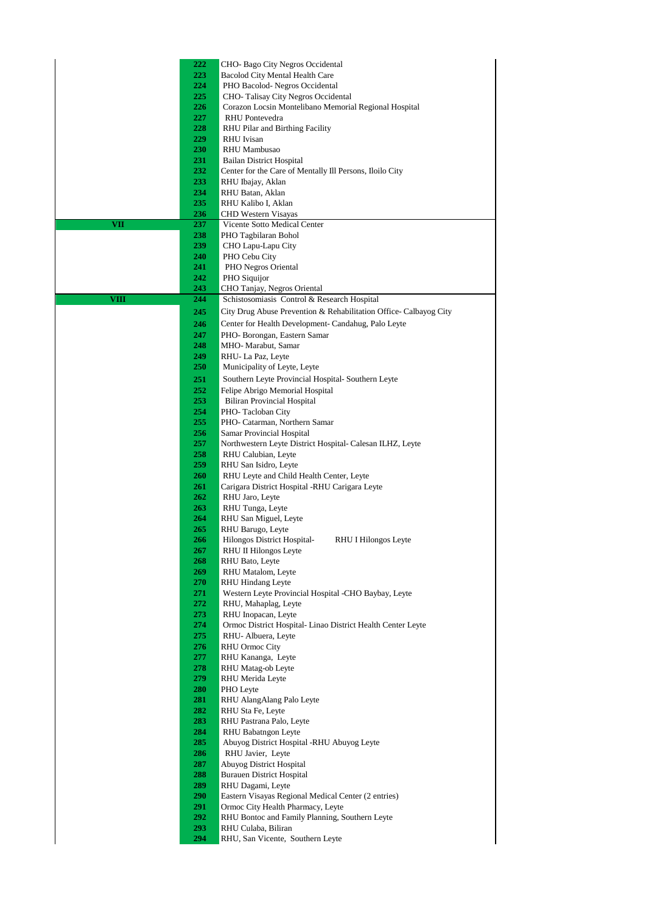| 222                | CHO- Bago City Negros Occidental                                                            |
|--------------------|---------------------------------------------------------------------------------------------|
| 223                | Bacolod City Mental Health Care                                                             |
| 224                | PHO Bacolod-Negros Occidental                                                               |
| 225                | CHO-Talisay City Negros Occidental                                                          |
| 226                | Corazon Locsin Montelibano Memorial Regional Hospital                                       |
| 227                | <b>RHU</b> Pontevedra                                                                       |
| 228                | RHU Pilar and Birthing Facility                                                             |
| 229                | <b>RHU</b> Ivisan                                                                           |
| 230                | <b>RHU</b> Mambusao                                                                         |
| 231<br>232         | <b>Bailan District Hospital</b><br>Center for the Care of Mentally Ill Persons, Iloilo City |
| 233                | RHU Ibajay, Aklan                                                                           |
| 234                | RHU Batan, Aklan                                                                            |
| 235                | RHU Kalibo I, Aklan                                                                         |
| 236                | <b>CHD Western Visayas</b>                                                                  |
| 237<br><b>VII</b>  | Vicente Sotto Medical Center                                                                |
| 238                | PHO Tagbilaran Bohol                                                                        |
| 239                | CHO Lapu-Lapu City                                                                          |
| 240                | PHO Cebu City                                                                               |
| 241                | PHO Negros Oriental                                                                         |
| 242                | PHO Siquijor                                                                                |
| 243                | CHO Tanjay, Negros Oriental                                                                 |
| <b>VIII</b><br>244 | Schistosomiasis Control & Research Hospital                                                 |
| 245                | City Drug Abuse Prevention & Rehabilitation Office- Calbayog City                           |
| 246                | Center for Health Development- Candahug, Palo Leyte                                         |
| 247                | PHO-Borongan, Eastern Samar                                                                 |
| 248                | MHO- Marabut, Samar                                                                         |
| 249                | RHU-La Paz, Leyte                                                                           |
| 250                | Municipality of Leyte, Leyte                                                                |
| 251                | Southern Leyte Provincial Hospital-Southern Leyte                                           |
| 252                | Felipe Abrigo Memorial Hospital                                                             |
| 253                | <b>Biliran Provincial Hospital</b>                                                          |
| 254                | PHO-Tacloban City                                                                           |
| 255                | PHO- Catarman, Northern Samar                                                               |
| 256                | Samar Provincial Hospital                                                                   |
| 257                | Northwestern Leyte District Hospital- Calesan ILHZ, Leyte                                   |
| 258                | RHU Calubian, Leyte                                                                         |
| 259                | RHU San Isidro, Leyte                                                                       |
| 260                | RHU Leyte and Child Health Center, Leyte                                                    |
| 261                | Carigara District Hospital -RHU Carigara Leyte                                              |
| 262                | RHU Jaro, Leyte                                                                             |
| 263                | RHU Tunga, Leyte                                                                            |
| 264                | RHU San Miguel, Leyte                                                                       |
| 265                | RHU Barugo, Leyte                                                                           |
| 266                | Hilongos District Hospital-<br>RHU I Hilongos Leyte                                         |
| 267                | RHU II Hilongos Leyte                                                                       |
| 268                | RHU Bato, Leyte                                                                             |
| 269                | RHU Matalom, Leyte                                                                          |
| 270                | <b>RHU Hindang Leyte</b>                                                                    |
| 271                | Western Leyte Provincial Hospital -CHO Baybay, Leyte                                        |
| 272                | RHU, Mahaplag, Leyte                                                                        |
| 273                | RHU Inopacan, Leyte                                                                         |
| 274<br>275         | Ormoc District Hospital- Linao District Health Center Leyte                                 |
| 276                | RHU-Albuera, Leyte<br><b>RHU Ormoc City</b>                                                 |
| 277                | RHU Kananga, Leyte                                                                          |
| 278                | RHU Matag-ob Leyte                                                                          |
| 279                | <b>RHU</b> Merida Leyte                                                                     |
| 280                | PHO Leyte                                                                                   |
| 281                | RHU AlangAlang Palo Leyte                                                                   |
| 282                | RHU Sta Fe, Leyte                                                                           |
| 283                | RHU Pastrana Palo, Leyte                                                                    |
| 284                | RHU Babatngon Leyte                                                                         |
| 285                | Abuyog District Hospital -RHU Abuyog Leyte                                                  |
| 286                | RHU Javier, Leyte                                                                           |
| 287                | Abuyog District Hospital                                                                    |
| 288                | <b>Burauen District Hospital</b>                                                            |
| 289                | RHU Dagami, Leyte                                                                           |
|                    |                                                                                             |
| 290                | Eastern Visayas Regional Medical Center (2 entries)                                         |
| 291                | Ormoc City Health Pharmacy, Leyte                                                           |
| 292                | RHU Bontoc and Family Planning, Southern Leyte                                              |
|                    |                                                                                             |